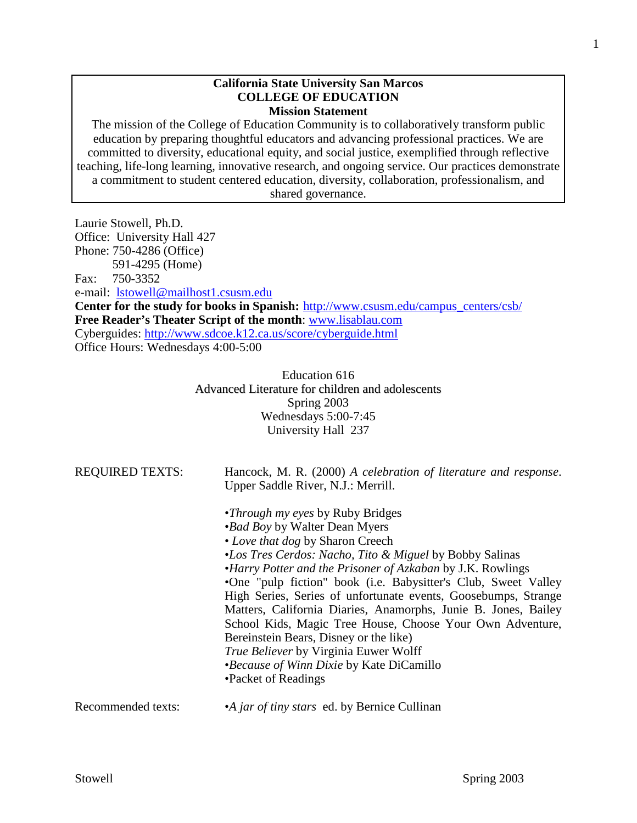### **California State University San Marcos COLLEGE OF EDUCATION Mission Statement**

The mission of the College of Education Community is to collaboratively transform public education by preparing thoughtful educators and advancing professional practices. We are committed to diversity, educational equity, and social justice, exemplified through reflective teaching, life-long learning, innovative research, and ongoing service. Our practices demonstrate a commitment to student centered education, diversity, collaboration, professionalism, and shared governance.

Laurie Stowell, Ph.D. Office: University Hall 427 Phone: 750-4286 (Office) 591-4295 (Home) Fax: 750-3352 e-mail: [lstowell@mailhost1.csusm.edu](mailto:lstowell@mailhost1.csusm.edu) **Center for the study for books in Spanish:** [http://www.csusm.edu/campus\\_centers/csb/](http://www.csusm.edu/campus_centers/csb/) **Free Reader's Theater Script of the month**: [www.lisablau.com](http://www.lisablau.com/) Cyberguides:<http://www.sdcoe.k12.ca.us/score/cyberguide.html> Office Hours: Wednesdays 4:00-5:00

> Education 616 Advanced Literature for children and adolescents Spring 2003 Wednesdays 5:00-7:45 University Hall 237

| <b>REQUIRED TEXTS:</b> | Hancock, M. R. (2000) A celebration of literature and response.<br>Upper Saddle River, N.J.: Merrill.<br>• <i>Through my eyes</i> by Ruby Bridges |
|------------------------|---------------------------------------------------------------------------------------------------------------------------------------------------|
|                        | <i>•Bad Boy by Walter Dean Myers</i>                                                                                                              |
|                        | • Love that dog by Sharon Creech                                                                                                                  |
|                        | •Los Tres Cerdos: Nacho, Tito & Miguel by Bobby Salinas                                                                                           |
|                        | •Harry Potter and the Prisoner of Azkaban by J.K. Rowlings                                                                                        |
|                        | •One "pulp fiction" book (i.e. Babysitter's Club, Sweet Valley                                                                                    |
|                        | High Series, Series of unfortunate events, Goosebumps, Strange                                                                                    |
|                        | Matters, California Diaries, Anamorphs, Junie B. Jones, Bailey                                                                                    |
|                        | School Kids, Magic Tree House, Choose Your Own Adventure,                                                                                         |
|                        | Bereinstein Bears, Disney or the like)                                                                                                            |
|                        | <i>True Believer</i> by Virginia Euwer Wolff                                                                                                      |
|                        | •Because of Winn Dixie by Kate DiCamillo                                                                                                          |
|                        | •Packet of Readings                                                                                                                               |
| Recommended texts:     | •A jar of tiny stars ed. by Bernice Cullinan                                                                                                      |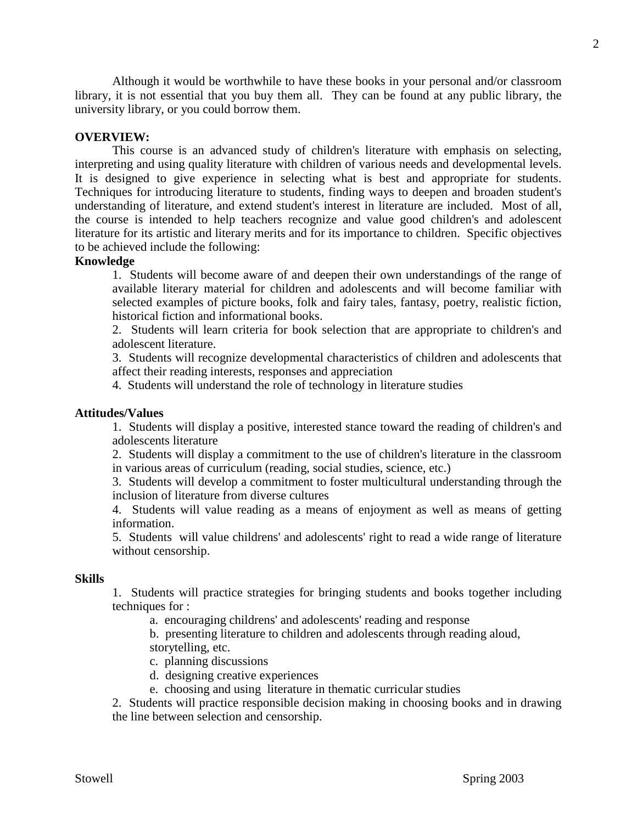Although it would be worthwhile to have these books in your personal and/or classroom library, it is not essential that you buy them all. They can be found at any public library, the university library, or you could borrow them.

## **OVERVIEW:**

This course is an advanced study of children's literature with emphasis on selecting, interpreting and using quality literature with children of various needs and developmental levels. It is designed to give experience in selecting what is best and appropriate for students. Techniques for introducing literature to students, finding ways to deepen and broaden student's understanding of literature, and extend student's interest in literature are included. Most of all, the course is intended to help teachers recognize and value good children's and adolescent literature for its artistic and literary merits and for its importance to children. Specific objectives to be achieved include the following:

#### **Knowledge**

1. Students will become aware of and deepen their own understandings of the range of available literary material for children and adolescents and will become familiar with selected examples of picture books, folk and fairy tales, fantasy, poetry, realistic fiction, historical fiction and informational books.

2. Students will learn criteria for book selection that are appropriate to children's and adolescent literature.

3. Students will recognize developmental characteristics of children and adolescents that affect their reading interests, responses and appreciation

4. Students will understand the role of technology in literature studies

### **Attitudes/Values**

1. Students will display a positive, interested stance toward the reading of children's and adolescents literature

2. Students will display a commitment to the use of children's literature in the classroom in various areas of curriculum (reading, social studies, science, etc.)

3. Students will develop a commitment to foster multicultural understanding through the inclusion of literature from diverse cultures

4. Students will value reading as a means of enjoyment as well as means of getting information.

5. Students will value childrens' and adolescents' right to read a wide range of literature without censorship.

#### **Skills**

1. Students will practice strategies for bringing students and books together including techniques for :

a. encouraging childrens' and adolescents' reading and response

b. presenting literature to children and adolescents through reading aloud, storytelling, etc.

c. planning discussions

- d. designing creative experiences
- e. choosing and using literature in thematic curricular studies

2. Students will practice responsible decision making in choosing books and in drawing the line between selection and censorship.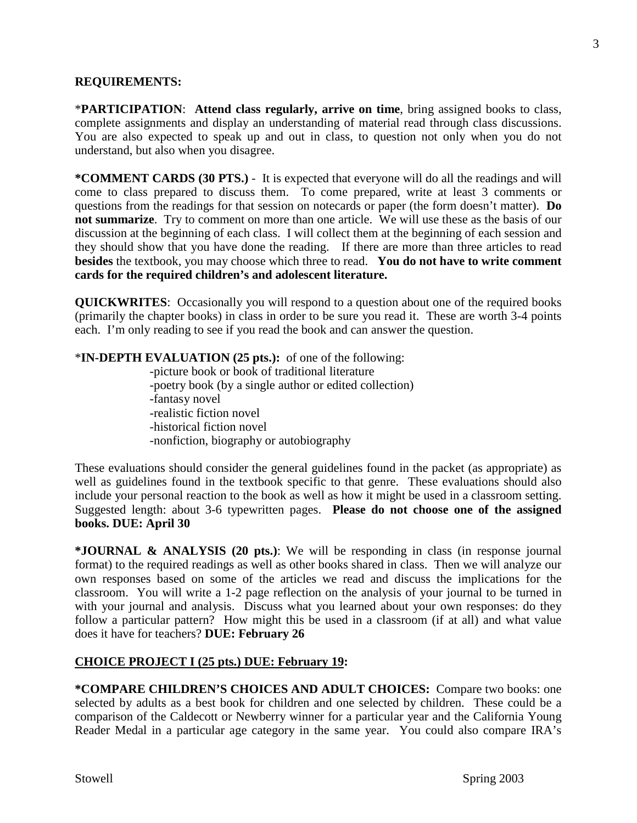## **REQUIREMENTS:**

\***PARTICIPATION**: **Attend class regularly, arrive on time**, bring assigned books to class, complete assignments and display an understanding of material read through class discussions. You are also expected to speak up and out in class, to question not only when you do not understand, but also when you disagree.

**\*COMMENT CARDS (30 PTS.)** - It is expected that everyone will do all the readings and will come to class prepared to discuss them. To come prepared, write at least 3 comments or questions from the readings for that session on notecards or paper (the form doesn't matter). **Do not summarize**. Try to comment on more than one article. We will use these as the basis of our discussion at the beginning of each class. I will collect them at the beginning of each session and they should show that you have done the reading. If there are more than three articles to read **besides** the textbook, you may choose which three to read. **You do not have to write comment cards for the required children's and adolescent literature.**

**QUICKWRITES**: Occasionally you will respond to a question about one of the required books (primarily the chapter books) in class in order to be sure you read it. These are worth 3-4 points each. I'm only reading to see if you read the book and can answer the question.

## \***IN-DEPTH EVALUATION (25 pts.):** of one of the following:

-picture book or book of traditional literature -poetry book (by a single author or edited collection) -fantasy novel -realistic fiction novel -historical fiction novel -nonfiction, biography or autobiography

These evaluations should consider the general guidelines found in the packet (as appropriate) as well as guidelines found in the textbook specific to that genre. These evaluations should also include your personal reaction to the book as well as how it might be used in a classroom setting. Suggested length: about 3-6 typewritten pages. **Please do not choose one of the assigned books. DUE: April 30**

**\*JOURNAL & ANALYSIS (20 pts.)**: We will be responding in class (in response journal format) to the required readings as well as other books shared in class. Then we will analyze our own responses based on some of the articles we read and discuss the implications for the classroom. You will write a 1-2 page reflection on the analysis of your journal to be turned in with your journal and analysis. Discuss what you learned about your own responses: do they follow a particular pattern? How might this be used in a classroom (if at all) and what value does it have for teachers? **DUE: February 26**

## **CHOICE PROJECT I (25 pts.) DUE: February 19:**

**\*COMPARE CHILDREN'S CHOICES AND ADULT CHOICES:** Compare two books: one selected by adults as a best book for children and one selected by children. These could be a comparison of the Caldecott or Newberry winner for a particular year and the California Young Reader Medal in a particular age category in the same year. You could also compare IRA's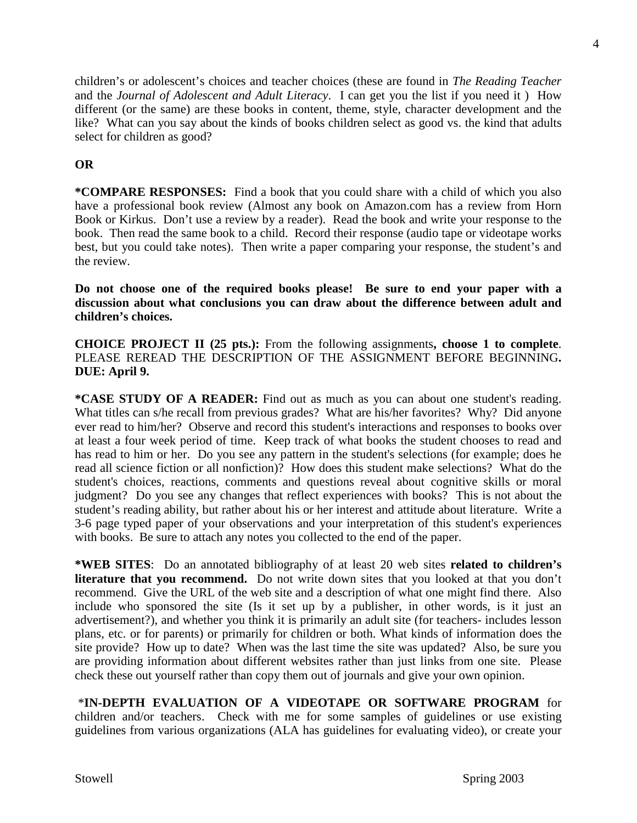children's or adolescent's choices and teacher choices (these are found in *The Reading Teacher* and the *Journal of Adolescent and Adult Literacy*. I can get you the list if you need it ) How different (or the same) are these books in content, theme, style, character development and the like? What can you say about the kinds of books children select as good vs. the kind that adults select for children as good?

# **OR**

**\*COMPARE RESPONSES:** Find a book that you could share with a child of which you also have a professional book review (Almost any book on Amazon.com has a review from Horn Book or Kirkus. Don't use a review by a reader).Read the book and write your response to the book. Then read the same book to a child. Record their response (audio tape or videotape works best, but you could take notes). Then write a paper comparing your response, the student's and the review.

**Do not choose one of the required books please! Be sure to end your paper with a discussion about what conclusions you can draw about the difference between adult and children's choices.**

**CHOICE PROJECT II (25 pts.):** From the following assignments**, choose 1 to complete**. PLEASE REREAD THE DESCRIPTION OF THE ASSIGNMENT BEFORE BEGINNING**. DUE: April 9.**

**\*CASE STUDY OF A READER:** Find out as much as you can about one student's reading. What titles can s/he recall from previous grades? What are his/her favorites? Why? Did anyone ever read to him/her? Observe and record this student's interactions and responses to books over at least a four week period of time. Keep track of what books the student chooses to read and has read to him or her. Do you see any pattern in the student's selections (for example; does he read all science fiction or all nonfiction)? How does this student make selections? What do the student's choices, reactions, comments and questions reveal about cognitive skills or moral judgment? Do you see any changes that reflect experiences with books? This is not about the student's reading ability, but rather about his or her interest and attitude about literature. Write a 3-6 page typed paper of your observations and your interpretation of this student's experiences with books. Be sure to attach any notes you collected to the end of the paper.

**\*WEB SITES**: Do an annotated bibliography of at least 20 web sites **related to children's literature that you recommend.** Do not write down sites that you looked at that you don't recommend. Give the URL of the web site and a description of what one might find there. Also include who sponsored the site (Is it set up by a publisher, in other words, is it just an advertisement?), and whether you think it is primarily an adult site (for teachers- includes lesson plans, etc. or for parents) or primarily for children or both. What kinds of information does the site provide? How up to date? When was the last time the site was updated? Also, be sure you are providing information about different websites rather than just links from one site. Please check these out yourself rather than copy them out of journals and give your own opinion.

\***IN-DEPTH EVALUATION OF A VIDEOTAPE OR SOFTWARE PROGRAM** for children and/or teachers. Check with me for some samples of guidelines or use existing guidelines from various organizations (ALA has guidelines for evaluating video), or create your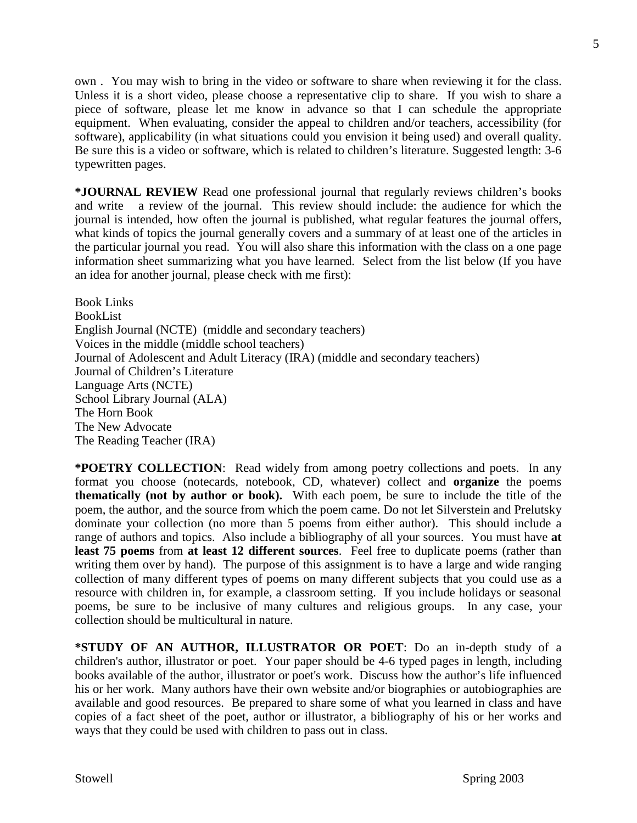own . You may wish to bring in the video or software to share when reviewing it for the class. Unless it is a short video, please choose a representative clip to share. If you wish to share a piece of software, please let me know in advance so that I can schedule the appropriate equipment. When evaluating, consider the appeal to children and/or teachers, accessibility (for software), applicability (in what situations could you envision it being used) and overall quality. Be sure this is a video or software, which is related to children's literature. Suggested length: 3-6 typewritten pages.

**\*JOURNAL REVIEW** Read one professional journal that regularly reviews children's books and write a review of the journal. This review should include: the audience for which the journal is intended, how often the journal is published, what regular features the journal offers, what kinds of topics the journal generally covers and a summary of at least one of the articles in the particular journal you read. You will also share this information with the class on a one page information sheet summarizing what you have learned. Select from the list below (If you have an idea for another journal, please check with me first):

Book Links BookList English Journal (NCTE) (middle and secondary teachers) Voices in the middle (middle school teachers) Journal of Adolescent and Adult Literacy (IRA) (middle and secondary teachers) Journal of Children's Literature Language Arts (NCTE) School Library Journal (ALA) The Horn Book The New Advocate The Reading Teacher (IRA)

**\*POETRY COLLECTION**: Read widely from among poetry collections and poets. In any format you choose (notecards, notebook, CD, whatever) collect and **organize** the poems **thematically (not by author or book).** With each poem, be sure to include the title of the poem, the author, and the source from which the poem came. Do not let Silverstein and Prelutsky dominate your collection (no more than 5 poems from either author). This should include a range of authors and topics. Also include a bibliography of all your sources. You must have **at least 75 poems** from **at least 12 different sources**. Feel free to duplicate poems (rather than writing them over by hand). The purpose of this assignment is to have a large and wide ranging collection of many different types of poems on many different subjects that you could use as a resource with children in, for example, a classroom setting. If you include holidays or seasonal poems, be sure to be inclusive of many cultures and religious groups. In any case, your collection should be multicultural in nature.

**\*STUDY OF AN AUTHOR, ILLUSTRATOR OR POET**: Do an in-depth study of a children's author, illustrator or poet. Your paper should be 4-6 typed pages in length, including books available of the author, illustrator or poet's work. Discuss how the author's life influenced his or her work. Many authors have their own website and/or biographies or autobiographies are available and good resources. Be prepared to share some of what you learned in class and have copies of a fact sheet of the poet, author or illustrator, a bibliography of his or her works and ways that they could be used with children to pass out in class.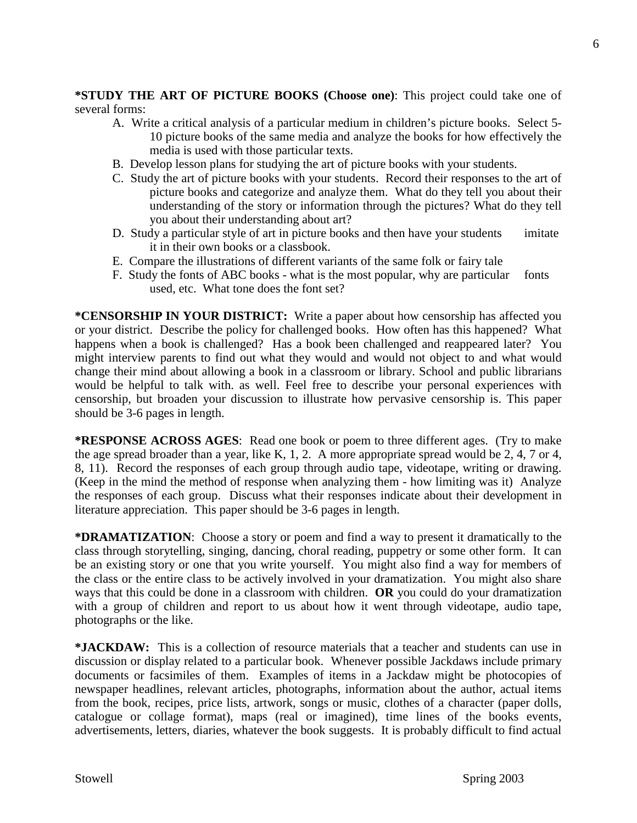**\*STUDY THE ART OF PICTURE BOOKS (Choose one)**: This project could take one of several forms:

- A. Write a critical analysis of a particular medium in children's picture books. Select 5- 10 picture books of the same media and analyze the books for how effectively the media is used with those particular texts.
- B. Develop lesson plans for studying the art of picture books with your students.
- C. Study the art of picture books with your students. Record their responses to the art of picture books and categorize and analyze them. What do they tell you about their understanding of the story or information through the pictures? What do they tell you about their understanding about art?
- D. Study a particular style of art in picture books and then have your students imitate it in their own books or a classbook.
- E. Compare the illustrations of different variants of the same folk or fairy tale
- F. Study the fonts of ABC books what is the most popular, why are particular fonts used, etc. What tone does the font set?

**\*CENSORSHIP IN YOUR DISTRICT:** Write a paper about how censorship has affected you or your district. Describe the policy for challenged books. How often has this happened? What happens when a book is challenged? Has a book been challenged and reappeared later? You might interview parents to find out what they would and would not object to and what would change their mind about allowing a book in a classroom or library. School and public librarians would be helpful to talk with. as well. Feel free to describe your personal experiences with censorship, but broaden your discussion to illustrate how pervasive censorship is. This paper should be 3-6 pages in length.

**\*RESPONSE ACROSS AGES**: Read one book or poem to three different ages. (Try to make the age spread broader than a year, like K, 1, 2. A more appropriate spread would be 2, 4, 7 or 4, 8, 11). Record the responses of each group through audio tape, videotape, writing or drawing. (Keep in the mind the method of response when analyzing them - how limiting was it) Analyze the responses of each group. Discuss what their responses indicate about their development in literature appreciation. This paper should be 3-6 pages in length.

**\*DRAMATIZATION**: Choose a story or poem and find a way to present it dramatically to the class through storytelling, singing, dancing, choral reading, puppetry or some other form. It can be an existing story or one that you write yourself. You might also find a way for members of the class or the entire class to be actively involved in your dramatization. You might also share ways that this could be done in a classroom with children. **OR** you could do your dramatization with a group of children and report to us about how it went through videotape, audio tape, photographs or the like.

**\*JACKDAW:** This is a collection of resource materials that a teacher and students can use in discussion or display related to a particular book. Whenever possible Jackdaws include primary documents or facsimiles of them. Examples of items in a Jackdaw might be photocopies of newspaper headlines, relevant articles, photographs, information about the author, actual items from the book, recipes, price lists, artwork, songs or music, clothes of a character (paper dolls, catalogue or collage format), maps (real or imagined), time lines of the books events, advertisements, letters, diaries, whatever the book suggests. It is probably difficult to find actual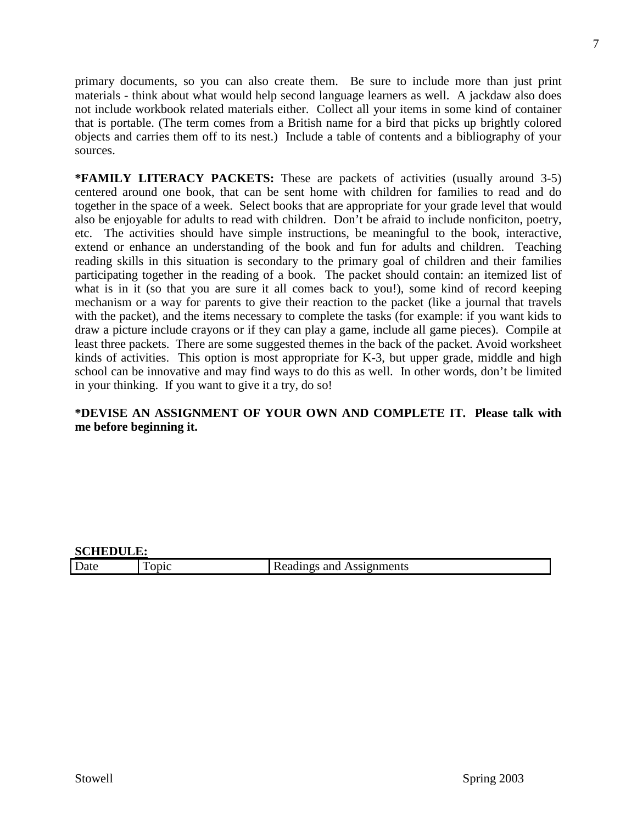primary documents, so you can also create them. Be sure to include more than just print materials - think about what would help second language learners as well. A jackdaw also does not include workbook related materials either. Collect all your items in some kind of container that is portable. (The term comes from a British name for a bird that picks up brightly colored objects and carries them off to its nest.) Include a table of contents and a bibliography of your sources.

**\*FAMILY LITERACY PACKETS:** These are packets of activities (usually around 3-5) centered around one book, that can be sent home with children for families to read and do together in the space of a week. Select books that are appropriate for your grade level that would also be enjoyable for adults to read with children. Don't be afraid to include nonficiton, poetry, etc. The activities should have simple instructions, be meaningful to the book, interactive, extend or enhance an understanding of the book and fun for adults and children. Teaching reading skills in this situation is secondary to the primary goal of children and their families participating together in the reading of a book. The packet should contain: an itemized list of what is in it (so that you are sure it all comes back to you!), some kind of record keeping mechanism or a way for parents to give their reaction to the packet (like a journal that travels with the packet), and the items necessary to complete the tasks (for example: if you want kids to draw a picture include crayons or if they can play a game, include all game pieces). Compile at least three packets. There are some suggested themes in the back of the packet. Avoid worksheet kinds of activities. This option is most appropriate for K-3, but upper grade, middle and high school can be innovative and may find ways to do this as well. In other words, don't be limited in your thinking. If you want to give it a try, do so!

# **\*DEVISE AN ASSIGNMENT OF YOUR OWN AND COMPLETE IT. Please talk with me before beginning it.**

### **SCHEDULE:**

| r<br>$\sim$<br>Date | 4 L L L<br>าแ |
|---------------------|---------------|
|                     |               |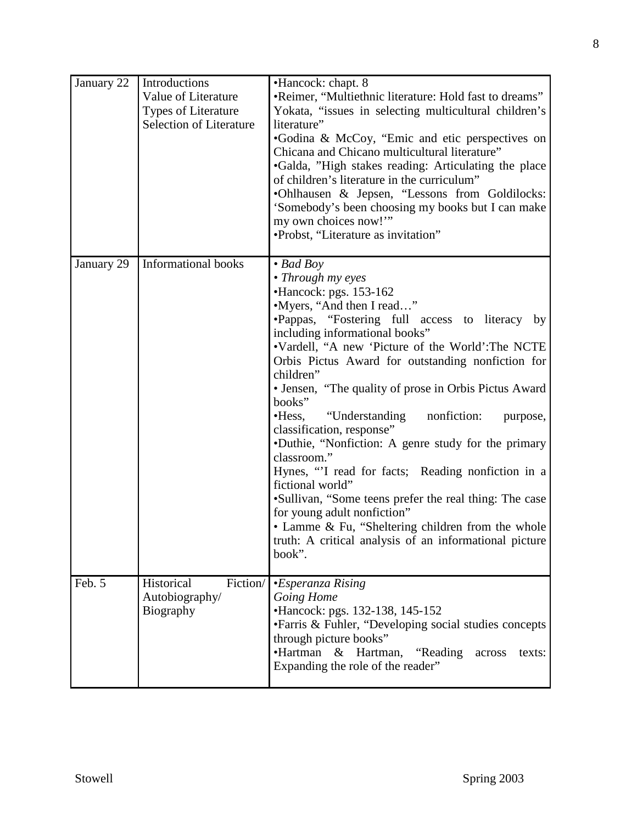| January 22 | Introductions<br>Value of Literature<br>Types of Literature<br><b>Selection of Literature</b> | •Hancock: chapt. 8<br>•Reimer, "Multiethnic literature: Hold fast to dreams"<br>Yokata, "issues in selecting multicultural children's<br>literature"<br>•Godina & McCoy, "Emic and etic perspectives on<br>Chicana and Chicano multicultural literature"<br>•Galda, "High stakes reading: Articulating the place<br>of children's literature in the curriculum"<br>•Ohlhausen & Jepsen, "Lessons from Goldilocks:<br>'Somebody's been choosing my books but I can make<br>my own choices now!"<br>•Probst, "Literature as invitation"                                                                                                                                                                                                                                                                                                    |
|------------|-----------------------------------------------------------------------------------------------|------------------------------------------------------------------------------------------------------------------------------------------------------------------------------------------------------------------------------------------------------------------------------------------------------------------------------------------------------------------------------------------------------------------------------------------------------------------------------------------------------------------------------------------------------------------------------------------------------------------------------------------------------------------------------------------------------------------------------------------------------------------------------------------------------------------------------------------|
| January 29 | <b>Informational books</b>                                                                    | $\bullet$ Bad Boy<br>• Through my eyes<br>•Hancock: pgs. 153-162<br>•Myers, "And then I read"<br>·Pappas, "Fostering full access to literacy by<br>including informational books"<br>•Vardell, "A new 'Picture of the World': The NCTE<br>Orbis Pictus Award for outstanding nonfiction for<br>children"<br>• Jensen, "The quality of prose in Orbis Pictus Award<br>books"<br>nonfiction:<br>$\cdot$ Hess,<br>"Understanding"<br>purpose,<br>classification, response"<br>•Duthie, "Nonfiction: A genre study for the primary<br>classroom."<br>Hynes, "I read for facts; Reading nonfiction in a<br>fictional world"<br>•Sullivan, "Some teens prefer the real thing: The case<br>for young adult nonfiction"<br>• Lamme & Fu, "Sheltering children from the whole<br>truth: A critical analysis of an informational picture<br>book". |
| Feb. 5     | Historical<br>Fiction/<br>Autobiography/<br>Biography                                         | •Esperanza Rising<br>Going Home<br>•Hancock: pgs. 132-138, 145-152<br>• Farris & Fuhler, "Developing social studies concepts<br>through picture books"<br>•Hartman<br>& Hartman, "Reading<br>across<br>texts:<br>Expanding the role of the reader"                                                                                                                                                                                                                                                                                                                                                                                                                                                                                                                                                                                       |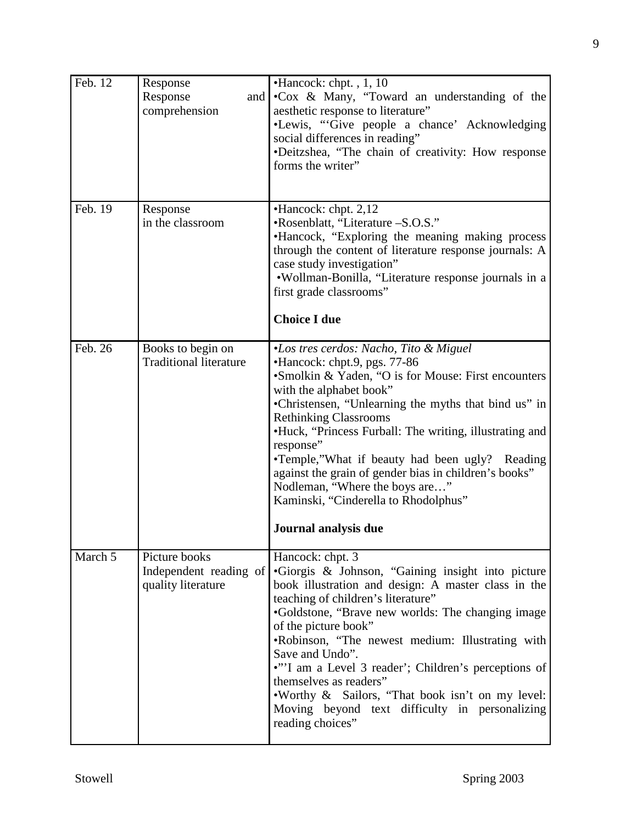| Feb. 12 | Response<br>Response<br>and  <br>comprehension                | •Hancock: chpt., 1, 10<br>•Cox & Many, "Toward an understanding of the<br>aesthetic response to literature"<br>•Lewis, "Give people a chance' Acknowledging<br>social differences in reading"<br>•Deitzshea, "The chain of creativity: How response<br>forms the writer"                                                                                                                                                                                                                                                                         |
|---------|---------------------------------------------------------------|--------------------------------------------------------------------------------------------------------------------------------------------------------------------------------------------------------------------------------------------------------------------------------------------------------------------------------------------------------------------------------------------------------------------------------------------------------------------------------------------------------------------------------------------------|
| Feb. 19 | Response<br>in the classroom                                  | •Hancock: chpt. 2,12<br>•Rosenblatt, "Literature -S.O.S."<br>•Hancock, "Exploring the meaning making process<br>through the content of literature response journals: A<br>case study investigation"<br>·Wollman-Bonilla, "Literature response journals in a<br>first grade classrooms"<br><b>Choice I due</b>                                                                                                                                                                                                                                    |
| Feb. 26 | Books to begin on<br><b>Traditional literature</b>            | <i>•Los tres cerdos: Nacho, Tito &amp; Miguel</i><br>•Hancock: chpt.9, pgs. 77-86<br>•Smolkin & Yaden, "O is for Mouse: First encounters<br>with the alphabet book"<br>•Christensen, "Unlearning the myths that bind us" in<br><b>Rethinking Classrooms</b><br>•Huck, "Princess Furball: The writing, illustrating and<br>response"<br>•Temple,"What if beauty had been ugly? Reading<br>against the grain of gender bias in children's books"<br>Nodleman, "Where the boys are"<br>Kaminski, "Cinderella to Rhodolphus"<br>Journal analysis due |
| March 5 | Picture books<br>Independent reading of<br>quality literature | Hancock: chpt. 3<br>·Giorgis & Johnson, "Gaining insight into picture<br>book illustration and design: A master class in the<br>teaching of children's literature"<br>•Goldstone, "Brave new worlds: The changing image<br>of the picture book"<br>.Robinson, "The newest medium: Illustrating with<br>Save and Undo".<br>•"'I am a Level 3 reader'; Children's perceptions of<br>themselves as readers"<br>.Worthy & Sailors, "That book isn't on my level:<br>Moving beyond text difficulty in personalizing<br>reading choices"               |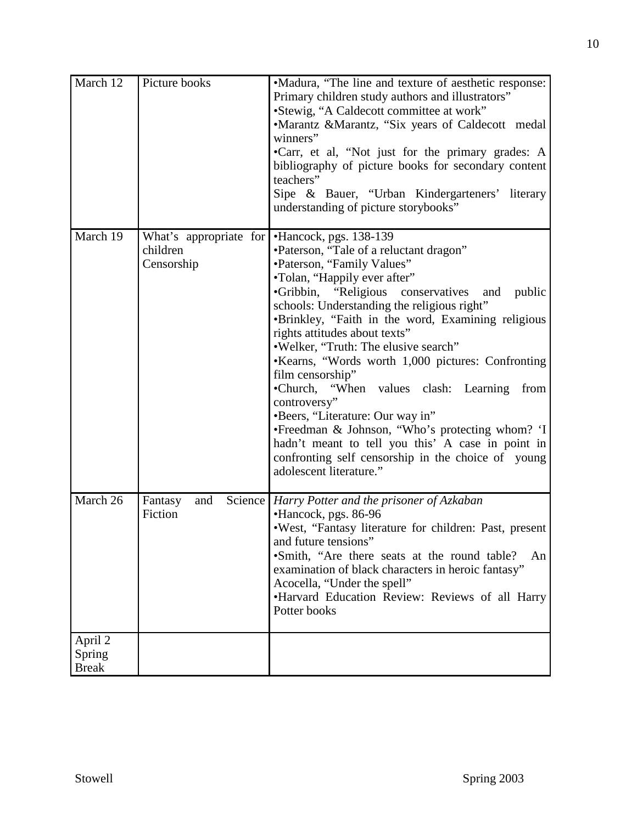| March 12                          | Picture books                                    | •Madura, "The line and texture of aesthetic response:<br>Primary children study authors and illustrators"<br>•Stewig, "A Caldecott committee at work"<br>•Marantz &Marantz, "Six years of Caldecott medal<br>winners"<br>•Carr, et al, "Not just for the primary grades: A<br>bibliography of picture books for secondary content<br>teachers"<br>Sipe & Bauer, "Urban Kindergarteners' literary<br>understanding of picture storybooks"                                                                                                                                                                                                                                                                                                 |
|-----------------------------------|--------------------------------------------------|------------------------------------------------------------------------------------------------------------------------------------------------------------------------------------------------------------------------------------------------------------------------------------------------------------------------------------------------------------------------------------------------------------------------------------------------------------------------------------------------------------------------------------------------------------------------------------------------------------------------------------------------------------------------------------------------------------------------------------------|
| March 19                          | What's appropriate for<br>children<br>Censorship | •Hancock, pgs. 138-139<br>•Paterson, "Tale of a reluctant dragon"<br>•Paterson, "Family Values"<br>•Tolan, "Happily ever after"<br>•Gribbin, "Religious<br>conservatives<br>and public<br>schools: Understanding the religious right"<br>•Brinkley, "Faith in the word, Examining religious<br>rights attitudes about texts"<br>.Welker, "Truth: The elusive search"<br>•Kearns, "Words worth 1,000 pictures: Confronting<br>film censorship"<br>•Church, "When values clash: Learning from<br>controversy"<br>•Beers, "Literature: Our way in"<br>•Freedman & Johnson, "Who's protecting whom? 'I<br>hadn't meant to tell you this' A case in point in<br>confronting self censorship in the choice of young<br>adolescent literature." |
| March 26                          | Science<br>and<br>Fantasy<br>Fiction             | Harry Potter and the prisoner of Azkaban<br>•Hancock, pgs. 86-96<br>.West, "Fantasy literature for children: Past, present<br>and future tensions"<br>•Smith, "Are there seats at the round table?<br>An<br>examination of black characters in heroic fantasy"<br>Acocella, "Under the spell"<br>•Harvard Education Review: Reviews of all Harry<br>Potter books                                                                                                                                                                                                                                                                                                                                                                         |
| April 2<br>Spring<br><b>Break</b> |                                                  |                                                                                                                                                                                                                                                                                                                                                                                                                                                                                                                                                                                                                                                                                                                                          |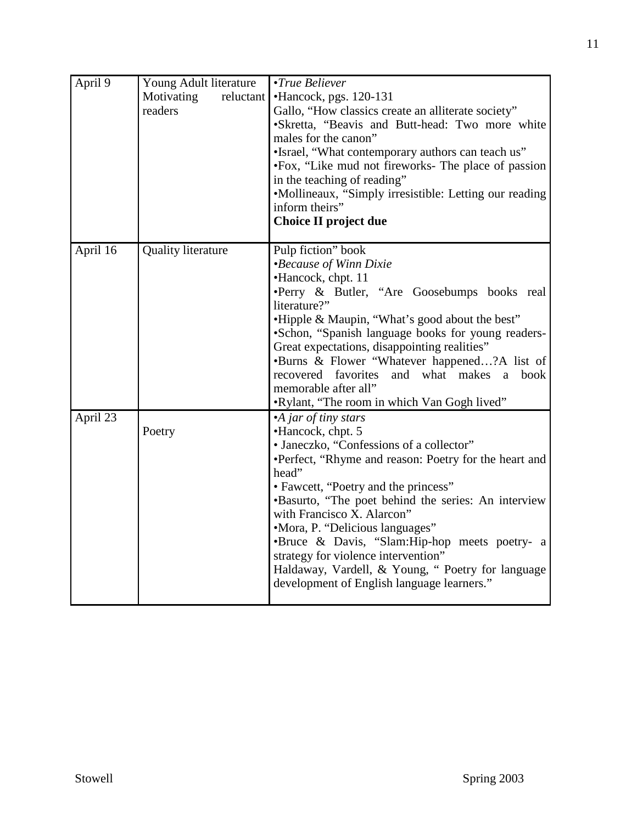| April 9  | Young Adult literature<br>Motivating<br>reluctant<br>readers | •True Believer<br>•Hancock, pgs. 120-131<br>Gallo, "How classics create an alliterate society"<br>•Skretta, "Beavis and Butt-head: Two more white<br>males for the canon"<br>•Israel, "What contemporary authors can teach us"<br>•Fox, "Like mud not fireworks- The place of passion<br>in the teaching of reading"<br>•Mollineaux, "Simply irresistible: Letting our reading<br>inform theirs"<br><b>Choice II project due</b>                                                                                   |
|----------|--------------------------------------------------------------|--------------------------------------------------------------------------------------------------------------------------------------------------------------------------------------------------------------------------------------------------------------------------------------------------------------------------------------------------------------------------------------------------------------------------------------------------------------------------------------------------------------------|
| April 16 | <b>Quality literature</b>                                    | Pulp fiction" book<br><i>•Because of Winn Dixie</i><br>•Hancock, chpt. 11<br>·Perry & Butler, "Are Goosebumps books real<br>literature?"<br>•Hipple & Maupin, "What's good about the best"<br>•Schon, "Spanish language books for young readers-<br>Great expectations, disappointing realities"<br>•Burns & Flower "Whatever happened?A list of<br>recovered favorites<br>and what makes<br>book<br>$\mathbf{a}$<br>memorable after all"<br>.Rylant, "The room in which Van Gogh lived"                           |
| April 23 | Poetry                                                       | •A jar of tiny stars<br>•Hancock, chpt. 5<br>• Janeczko, "Confessions of a collector"<br>•Perfect, "Rhyme and reason: Poetry for the heart and<br>head"<br>• Fawcett, "Poetry and the princess"<br>•Basurto, "The poet behind the series: An interview<br>with Francisco X. Alarcon"<br>•Mora, P. "Delicious languages"<br>•Bruce & Davis, "Slam:Hip-hop meets poetry- a<br>strategy for violence intervention"<br>Haldaway, Vardell, & Young, " Poetry for language<br>development of English language learners." |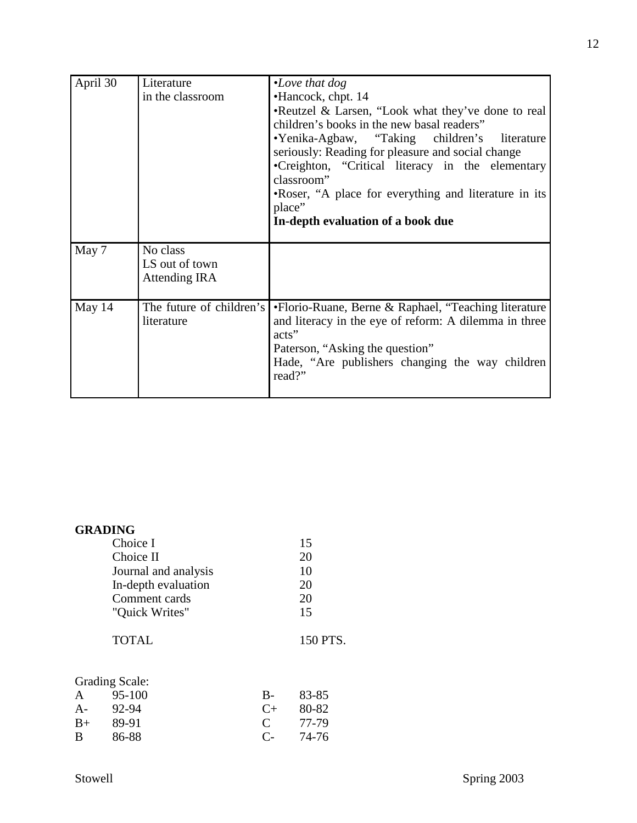| April 30 | Literature<br>in the classroom                     | $\cdot$ Love that dog<br>•Hancock, chpt. 14<br>•Reutzel & Larsen, "Look what they've done to real<br>children's books in the new basal readers"<br>•Yenika-Agbaw, "Taking children's literature<br>seriously: Reading for pleasure and social change<br>•Creighton, "Critical literacy in the elementary<br>classroom"<br>•Roser, "A place for everything and literature in its<br>place"<br>In-depth evaluation of a book due |
|----------|----------------------------------------------------|--------------------------------------------------------------------------------------------------------------------------------------------------------------------------------------------------------------------------------------------------------------------------------------------------------------------------------------------------------------------------------------------------------------------------------|
| May 7    | No class<br>LS out of town<br><b>Attending IRA</b> |                                                                                                                                                                                                                                                                                                                                                                                                                                |
| May 14   | The future of children's<br>literature             | •Florio-Ruane, Berne & Raphael, "Teaching literature<br>and literacy in the eye of reform: A dilemma in three<br>acts"<br>Paterson, "Asking the question"<br>Hade, "Are publishers changing the way children<br>read?"                                                                                                                                                                                                         |

| <b>GRADING</b>                                                         |   |          |
|------------------------------------------------------------------------|---|----------|
| Choice I                                                               |   | 15       |
| Choice II                                                              |   | 20       |
| Journal and analysis                                                   |   | 10       |
| In-depth evaluation                                                    |   | 20       |
| Comment cards                                                          |   | 20       |
| "Quick Writes"                                                         |   | 15       |
| <b>TOTAL</b>                                                           |   | 150 PTS. |
| <b>Grading Scale:</b><br>$\Omega$ $\epsilon$ 100<br>$\mathbf{\Lambda}$ | מ | 02. OS   |

| A    | 95-100 | $B-$         | 83-85 |
|------|--------|--------------|-------|
| $A-$ | 92-94  | $C_{\pm}$    | 80-82 |
| $B+$ | 89-91  | $\mathbf{C}$ | 77-79 |
| B    | 86-88  | $C_{\pm}$    | 74-76 |
|      |        |              |       |